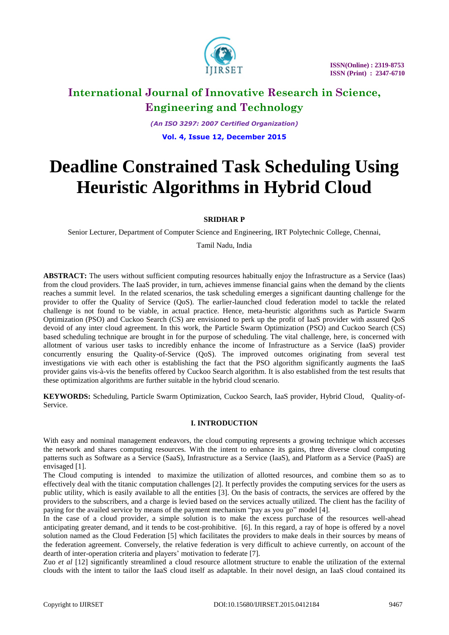

*(An ISO 3297: 2007 Certified Organization)* **Vol. 4, Issue 12, December 2015**

# **Deadline Constrained Task Scheduling Using Heuristic Algorithms in Hybrid Cloud**

# **SRIDHAR P**

Senior Lecturer, Department of Computer Science and Engineering, IRT Polytechnic College, Chennai,

Tamil Nadu, India

**ABSTRACT:** The users without sufficient computing resources habitually enjoy the Infrastructure as a Service (Iaas) from the cloud providers. The IaaS provider, in turn, achieves immense financial gains when the demand by the clients reaches a summit level. In the related scenarios, the task scheduling emerges a significant daunting challenge for the provider to offer the Quality of Service (QoS). The earlier-launched cloud federation model to tackle the related challenge is not found to be viable, in actual practice. Hence, meta-heuristic algorithms such as Particle Swarm Optimization (PSO) and Cuckoo Search (CS) are envisioned to perk up the profit of IaaS provider with assured QoS devoid of any inter cloud agreement. In this work, the Particle Swarm Optimization (PSO) and Cuckoo Search (CS) based scheduling technique are brought in for the purpose of scheduling. The vital challenge, here, is concerned with allotment of various user tasks to incredibly enhance the income of Infrastructure as a Service (IaaS) provider concurrently ensuring the Quality-of-Service (QoS). The improved outcomes originating from several test investigations vie with each other is establishing the fact that the PSO algorithm significantly augments the IaaS provider gains vis-à-vis the benefits offered by Cuckoo Search algorithm. It is also established from the test results that these optimization algorithms are further suitable in the hybrid cloud scenario.

**KEYWORDS:** Scheduling, Particle Swarm Optimization, Cuckoo Search, IaaS provider, Hybrid Cloud, Quality-of-Service.

# **I. INTRODUCTION**

With easy and nominal management endeavors, the cloud computing represents a growing technique which accesses the network and shares computing resources. With the intent to enhance its gains, three diverse cloud computing patterns such as Software as a Service (SaaS), Infrastructure as a Service (IaaS), and Platform as a Service (PaaS) are envisaged [1].

The Cloud computing is intended to maximize the utilization of allotted resources, and combine them so as to effectively deal with the titanic computation challenges [2]. It perfectly provides the computing services for the users as public utility, which is easily available to all the entities [3]. On the basis of contracts, the services are offered by the providers to the subscribers, and a charge is levied based on the services actually utilized. The client has the facility of paying for the availed service by means of the payment mechanism "pay as you go" model [4].

In the case of a cloud provider, a simple solution is to make the excess purchase of the resources well-ahead anticipating greater demand, and it tends to be cost-prohibitive. [6]. In this regard, a ray of hope is offered by a novel solution named as the Cloud Federation [5] which facilitates the providers to make deals in their sources by means of the federation agreement. Conversely, the relative federation is very difficult to achieve currently, on account of the dearth of inter-operation criteria and players' motivation to federate [7].

Zuo *et al* [12] significantly streamlined a cloud resource allotment structure to enable the utilization of the external clouds with the intent to tailor the IaaS cloud itself as adaptable. In their novel design, an IaaS cloud contained its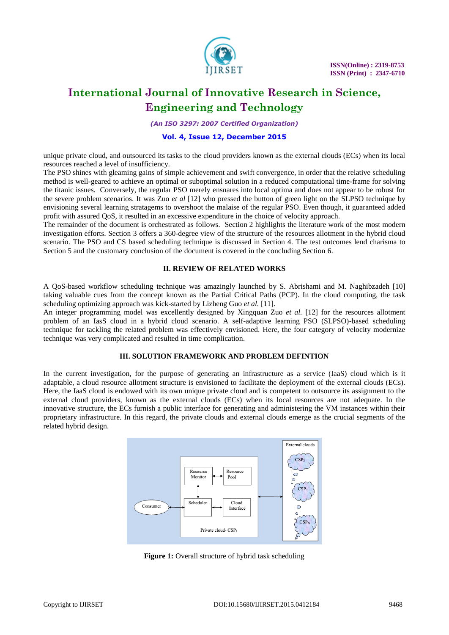

*(An ISO 3297: 2007 Certified Organization)*

## **Vol. 4, Issue 12, December 2015**

unique private cloud, and outsourced its tasks to the cloud providers known as the external clouds (ECs) when its local resources reached a level of insufficiency.

The PSO shines with gleaming gains of simple achievement and swift convergence, in order that the relative scheduling method is well-geared to achieve an optimal or suboptimal solution in a reduced computational time-frame for solving the titanic issues. Conversely, the regular PSO merely ensnares into local optima and does not appear to be robust for the severe problem scenarios. It was Zuo *et al* [12] who pressed the button of green light on the SLPSO technique by envisioning several learning stratagems to overshoot the malaise of the regular PSO. Even though, it guaranteed added profit with assured QoS, it resulted in an excessive expenditure in the choice of velocity approach.

The remainder of the document is orchestrated as follows. Section 2 highlights the literature work of the most modern investigation efforts. Section 3 offers a 360-degree view of the structure of the resources allotment in the hybrid cloud scenario. The PSO and CS based scheduling technique is discussed in Section 4. The test outcomes lend charisma to Section 5 and the customary conclusion of the document is covered in the concluding Section 6.

### **II. REVIEW OF RELATED WORKS**

A QoS-based workflow scheduling technique was amazingly launched by S. Abrishami and M. Naghibzadeh [10] taking valuable cues from the concept known as the Partial Critical Paths (PCP). In the cloud computing, the task scheduling optimizing approach was kick-started by Lizheng Guo *et al.* [11].

An integer programming model was excellently designed by Xingquan Zuo *et al.* [12] for the resources allotment problem of an IasS cloud in a hybrid cloud scenario. A self-adaptive learning PSO (SLPSO)-based scheduling technique for tackling the related problem was effectively envisioned. Here, the four category of velocity modernize technique was very complicated and resulted in time complication.

### **III. SOLUTION FRAMEWORK AND PROBLEM DEFINTION**

In the current investigation, for the purpose of generating an infrastructure as a service (IaaS) cloud which is it adaptable, a cloud resource allotment structure is envisioned to facilitate the deployment of the external clouds (ECs). Here, the IaaS cloud is endowed with its own unique private cloud and is competent to outsource its assignment to the external cloud providers, known as the external clouds (ECs) when its local resources are not adequate. In the innovative structure, the ECs furnish a public interface for generating and administering the VM instances within their proprietary infrastructure. In this regard, the private clouds and external clouds emerge as the crucial segments of the related hybrid design.



**Figure 1:** Overall structure of hybrid task scheduling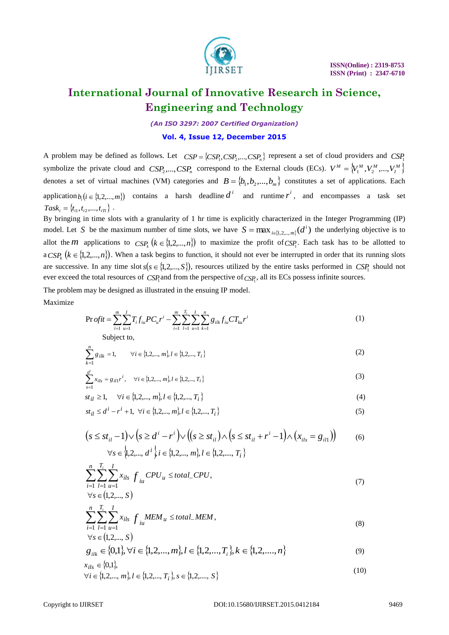

*(An ISO 3297: 2007 Certified Organization)*

### **Vol. 4, Issue 12, December 2015**

A problem may be defined as follows. Let  $CSP = \{CSP_1, CSP_2,...,CSP_n\}$  represent a set of cloud providers and  $CSP_1$ symbolize the private cloud and  $CSP_2, ..., CSP_n$  correspond to the External clouds (ECs).  $V^M = \{V_1^M, V_2^M, ..., V_l^M\}$ denotes a set of virtual machines (VM) categories and  $B = \{b_1, b_2, ..., b_m\}$  constitutes a set of applications. Each application  $b_i$   $(i \in \{1, 2, ..., m\})$  contains a harsh deadline  $d^i$  and runtime  $r^i$ , and encompasses a task set  $Task_i = \{t_{i1}, t_{i2}, \ldots, t_{iTi}\}$ .

By bringing in time slots with a granularity of 1 hr time is explicitly characterized in the Integer Programming (IP) model. Let S be the maximum number of time slots, we have  $S = \max_{i \in \{1, 2, \dots, m\}} (d^i)$  $S = \max_{i \in \{1, 2, \dots, m\}} (d^i)$  the underlying objective is to allot the *m* applications to  $CSP_k$  ( $k \in \{1,2,...,n\}$ ) to maximize the profit of  $CSP_1$ . Each task has to be allotted to  $a \, CSP_k (k \in \{1,2,...,n\})$ . When a task begins to function, it should not ever be interrupted in order that its running slots are successive. In any time slot  $s(s \in \{1,2,...,S\})$ , resources utilized by the entire tasks performed in  $CSP<sub>1</sub>$  should not ever exceed the total resources of  $CSP<sub>1</sub>$  and from the perspective of  $CSP<sub>1</sub>$ , all its ECs possess infinite sources.

The problem may be designed as illustrated in the ensuing IP model. Maximize

> $\int_{iu}^{\infty} CT_{ku} r^i$ *m i T l I u n*  $\sum_{i=1}^{n} PC_{u}r^{i} - \sum_{i=1}^{n} \sum_{l=1}^{n} \sum_{u=1}^{n} \sum_{k=1}^{n} g_{ilk}$ *m i I*  $\begin{aligned} & \textit{of} \textit{it} = \sum_{i=1}^{m}\sum_{u=1}^{I}T_{i}f_{iu}PC_{u}r^{i} - \sum_{i=1}^{m}\sum_{l=1}^{I_{i}}\sum_{u=1}^{I}\sum_{k=1}^{n}g_{ilk}f_{iu}CT_{ku}r^{i} \end{aligned}$  $i=1$   $u=1$   $k=1$   $l=1$   $u=1$   $k=1$ Pr (1) Subject to,

$$
\sum_{k=1}^{n} g_{ilk} = 1, \qquad \forall i \in \{1, 2, ..., m\}, l \in \{1, 2, ..., T_i\}
$$
\n
$$
(2)
$$

$$
\sum_{s=1}^{d^i} x_{ils} = g_{il1} r^i, \quad \forall i \in \{1, 2, ..., m\}, l \in \{1, 2, ..., T_i\}
$$
\n(3)

$$
st_{il} \ge 1, \quad \forall i \in \{1, 2, ..., m\}, l \in \{1, 2, ..., T_i\}
$$
\n
$$
(4)
$$

$$
st_{il} \le d^i - r^i + 1, \ \forall i \in \{1, 2, ..., m\}, l \in \{1, 2, ..., T_i\}
$$
 (5)

$$
(s \le st_{il} - 1) \vee (s \ge d^i - r^i) \vee ((s \ge st_{il}) \wedge (s \le st_{il} + r^i - 1) \wedge (x_{ils} = g_{il1}))
$$
  

$$
\forall s \in \{1, 2, ..., d^i\} i \in \{1, 2, ..., m\}, l \in \{1, 2, ..., T_i\}
$$
 (6)

$$
\sum_{i=1}^{n} \sum_{l=1}^{T_i} \sum_{u=1}^{I} x_{ils} f_{iu} CPU_u \le total\_CPU,
$$
  

$$
\forall s \in (1, 2, ..., S)
$$
 (7)

$$
\sum_{i=1}^{n} \sum_{l=1}^{T_i} \sum_{u=1}^{I} x_{ils} f_{iu} MEM_u \le total\_MEM,
$$
  
\n
$$
\forall s \in (1, 2, ..., S)
$$
 (8)

$$
g_{ilk} \in \{0,1\}, \forall i \in \{1,2,...,m\}, l \in \{1,2,...,T_i\}, k \in \{1,2,...,n\}
$$
\n(9)

$$
x_{ils} \in \{0,1\},
$$
  
\n
$$
\forall i \in \{1,2,..., m\}, l \in \{1,2,..., T_i\}, s \in \{1,2,..., S\}
$$
\n(10)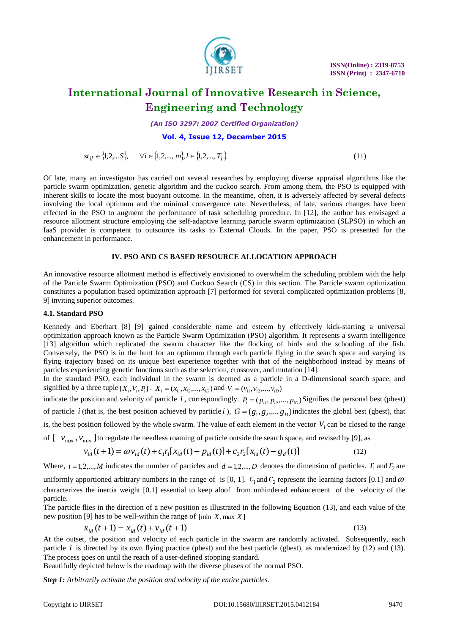

*(An ISO 3297: 2007 Certified Organization)*

**Vol. 4, Issue 12, December 2015**

$$
st_{il} \in \{1, 2, \dots S\}, \qquad \forall i \in \{1, 2, \dots, m\}, l \in \{1, 2, \dots, T_i\}
$$
\n
$$
(11)
$$

Of late, many an investigator has carried out several researches by employing diverse appraisal algorithms like the particle swarm optimization, genetic algorithm and the cuckoo search. From among them, the PSO is equipped with inherent skills to locate the most buoyant outcome. In the meantime, often, it is adversely affected by several defects involving the local optimum and the minimal convergence rate. Nevertheless, of late, various changes have been effected in the PSO to augment the performance of task scheduling procedure. In [12], the author has envisaged a resource allotment structure employing the self-adaptive learning particle swarm optimization (SLPSO) in which an IaaS provider is competent to outsource its tasks to External Clouds. In the paper, PSO is presented for the enhancement in performance.

#### **IV. PSO AND CS BASED RESOURCE ALLOCATION APPROACH**

An innovative resource allotment method is effectively envisioned to overwhelm the scheduling problem with the help of the Particle Swarm Optimization (PSO) and Cuckoo Search (CS) in this section. The Particle swarm optimization constitutes a population based optimization approach [7] performed for several complicated optimization problems [8, 9] inviting superior outcomes.

#### **4.1. Standard PSO**

Kennedy and Eberhart [8] [9] gained considerable name and esteem by effectively kick-starting a universal optimization approach known as the Particle Swarm Optimization (PSO) algorithm. It represents a swarm intelligence [13] algorithm which replicated the swarm character like the flocking of birds and the schooling of the fish. Conversely, the PSO is in the hunt for an optimum through each particle flying in the search space and varying its flying trajectory based on its unique best experience together with that of the neighborhood instead by means of particles experiencing genetic functions such as the selection, crossover, and mutation [14].

In the standard PSO, each individual in the swarm is deemed as a particle in a D-dimensional search space, and signified by a three tuple { $X_i, V_i, P_i$ }.  $X_i = (x_{i1}, x_{i2},..., x_{iD})$  and  $V_i = (v_{i1}, v_{i2},..., v_{iD})$ 

indicate the position and velocity of particle *i*, correspondingly.  $P_i = (p_{i1}, p_{i2},..., p_{iD})$  Signifies the personal best (pbest) of particle *i* (that is, the best position achieved by particle *i*),  $G = (g_1, g_2, \dots, g_D)$  indicates the global best (gbest), that is, the best position followed by the whole swarm. The value of each element in the vector  $V_i$  can be closed to the range

of  $[-v_{\text{max}}^{\text{v}}$ ,  $v_{\text{max}}^{\text{v}}]$  to regulate the needless roaming of particle outside the search space, and revised by [9], as

$$
v_{id}(t+1) = \omega v_{id}(t) + c_1 r_i [x_{id}(t) - p_{id}(t)] + c_2 r_2 [x_{id}(t) - g_d(t)]
$$
\n(12)

Where,  $i = 1, 2, \ldots, M$  indicates the number of particles and  $d = 1, 2, \ldots, D$  denotes the dimension of particles.  $r_1$  and  $r_2$  are

uniformly apportioned arbitrary numbers in the range of is [0, 1].  $c_1$  and  $c_2$  represent the learning factors [0.1] and  $\omega$ characterizes the inertia weight [0.1] essential to keep aloof from unhindered enhancement of the velocity of the particle.

The particle flies in the direction of a new position as illustrated in the following Equation (13), and each value of the new position [9] has to be well-within the range of [min *X*,max *X* ]

$$
x_{id}(t+1) = x_{id}(t) + v_{id}(t+1)
$$
\n(13)

At the outset, the position and velocity of each particle in the swarm are randomly activated. Subsequently, each particle  $i$  is directed by its own flying practice (pbest) and the best particle (gbest), as modernized by  $(12)$  and  $(13)$ . The process goes on until the reach of a user-defined stopping standard.

Beautifully depicted below is the roadmap with the diverse phases of the normal PSO.

*Step 1: Arbitrarily activate the position and velocity of the entire particles.*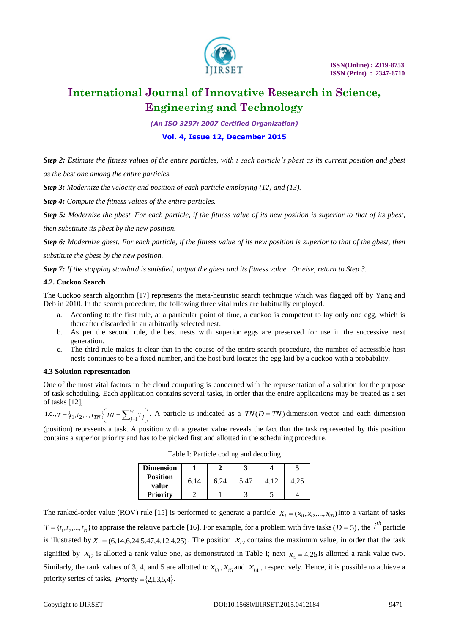

*(An ISO 3297: 2007 Certified Organization)*

### **Vol. 4, Issue 12, December 2015**

*Step 2: Estimate the fitness values of the entire particles, with t each particle's pbest as its current position and gbest as the best one among the entire particles.*

*Step 3: Modernize the velocity and position of each particle employing (12) and (13).*

*Step 4: Compute the fitness values of the entire particles.*

*Step 5: Modernize the pbest. For each particle, if the fitness value of its new position is superior to that of its pbest, then substitute its pbest by the new position.*

*Step 6: Modernize gbest. For each particle, if the fitness value of its new position is superior to that of the gbest, then substitute the gbest by the new position.*

*Step 7: If the stopping standard is satisfied, output the gbest and its fitness value. Or else, return to Step 3.*

### **4.2. Cuckoo Search**

The Cuckoo search algorithm [17] represents the meta-heuristic search technique which was flagged off by Yang and Deb in 2010. In the search procedure, the following three vital rules are habitually employed.

- a. According to the first rule, at a particular point of time, a cuckoo is competent to lay only one egg, which is thereafter discarded in an arbitrarily selected nest.
- b. As per the second rule, the best nests with superior eggs are preserved for use in the successive next generation.
- c. The third rule makes it clear that in the course of the entire search procedure, the number of accessible host nests continues to be a fixed number, and the host bird locates the egg laid by a cuckoo with a probability.

#### **4.3 Solution representation**

One of the most vital factors in the cloud computing is concerned with the representation of a solution for the purpose of task scheduling. Each application contains several tasks, in order that the entire applications may be treated as a set of tasks [12],

i.e.,  $T = \{t_1, t_2, ..., t_{TN}\}$   $\left(TN = \sum_{j=1}^{W} T_j\right)$  $\left(TN = \sum_{j=1}^{w} T_j\right)$  $=\{t_1, t_2, ..., t_{TN}\}\bigg(TN = \sum_{j=1}^{W}$  $T = \{t_1, t_2, ..., t_{TN}\}$   $(TN = \sum_{j=1}^{W} T_j)$ . A particle is indicated as a  $TN(D = TN)$  dimension vector and each dimension

(position) represents a task. A position with a greater value reveals the fact that the task represented by this position contains a superior priority and has to be picked first and allotted in the scheduling procedure.

| <b>Dimension</b>         |      |      |      |      |      |
|--------------------------|------|------|------|------|------|
| <b>Position</b><br>value | 6.14 | 6.24 | 5.47 | 4.12 | 4.25 |
| <b>Priority</b>          |      |      |      |      |      |

Table I: Particle coding and decoding

The ranked-order value (ROV) rule [15] is performed to generate a particle  $X_i = (x_{i1}, x_{i2},...,x_{iD})$  into a variant of tasks  $T = \{t_1, t_2, ..., t_D\}$  to appraise the relative particle [16]. For example, for a problem with five tasks ( $D = 5$ ), the *i*<sup>th</sup> particle is illustrated by  $X_i = (6.14, 6.24, 5.47, 4.12, 4.25)$ . The position  $X_{i2}$  contains the maximum value, in order that the task signified by  $x_{i2}$  is allotted a rank value one, as demonstrated in Table I; next  $x_{i1} = 4.25$  is allotted a rank value two. Similarly, the rank values of 3, 4, and 5 are allotted to  $x_{i3}$ ,  $x_{i5}$  and  $x_{i4}$ , respectively. Hence, it is possible to achieve a priority series of tasks,  $Priority = \{2, 1, 3, 5, 4\}.$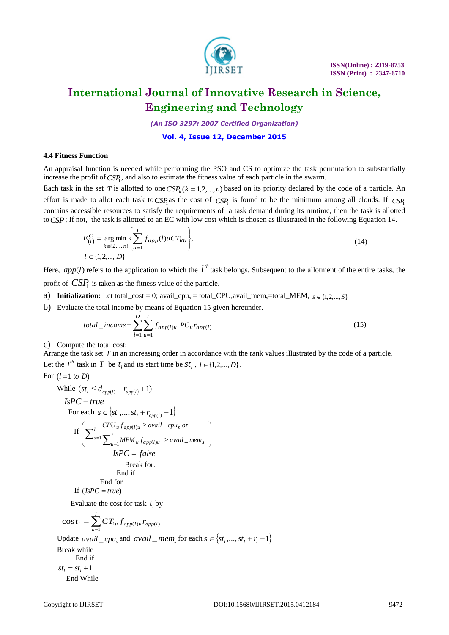

*(An ISO 3297: 2007 Certified Organization)*

**Vol. 4, Issue 12, December 2015**

#### **4.4 Fitness Function**

An appraisal function is needed while performing the PSO and CS to optimize the task permutation to substantially increase the profit of  $CSP<sub>1</sub>$ , and also to estimate the fitness value of each particle in the swarm.

Each task in the set T is allotted to one  $CSP_k(k = 1, 2, ..., n)$  based on its priority declared by the code of a particle. An effort is made to allot each task to  $CSP_1$  as the cost of  $CSP_1$  is found to be the minimum among all clouds. If  $CSP_1$ contains accessible resources to satisfy the requirements of a task demand during its runtime, then the task is allotted to CSP<sub>1</sub>; If not, the task is allotted to an EC with low cost which is chosen as illustrated in the following Equation 14.

$$
E_{(l)}^C = \underset{k \in \{2, ..., n\}}{\arg \min} \left\{ \sum_{u=1}^I f_{app}(l) u C T_{ku} \right\},\tag{14}
$$
  

$$
l \in \{1, 2, ..., D\}
$$

Here,  $app(l)$  refers to the application to which the  $l^{th}$  task belongs. Subsequent to the allotment of the entire tasks, the profit of  $\emph{CSP}_{1}$  is taken as the fitness value of the particle.

- a) **Initialization:** Let total\_cost = 0; avail\_cpu<sub>s</sub> = total\_CPU, avail\_mem<sub>s</sub>=total\_MEM,  $s \in \{1,2,...,S\}$
- b) Evaluate the total income by means of Equation 15 given hereunder.

total *income* = 
$$
\sum_{l=1}^{D} \sum_{u=1}^{I} f_{app(l)u} PC_u r_{app(l)}
$$
 (15)

c) Compute the total cost:

Arrange the task set *T* in an increasing order in accordance with the rank values illustrated by the code of a particle. Let the  $l^{th}$  task in T be  $t_l$  and its start time be  $st_l$ ,  $l \in \{1, 2, ..., D\}$ .

For 
$$
(l = 1 to D)
$$

While 
$$
(st_l \leq d_{app(l)} - r_{app(l)} + 1)
$$
  
\n $ISPC = true$   
\nFor each  $s \in \{st_l, ..., st_l + r_{app(l)} - 1\}$   
\nIf  $\left(\sum_{u=1}^{I} \sum_{u=1}^{CPU_u f_{app(l)u} \geq avail_cpu_s \text{ or } 1/sPC = false}\right)$   
\n $ISPC = false$   
\nBreak for.  
\nEnd if  
\nEnd for

If  $(IsPC = true)$ 

Evaluate the cost for task  $t_i$  by

$$
\cos t_{l} = \sum_{u=1}^{l} CT_{1u} f_{app(l)u} r_{app(l)}
$$
  
Update *avail\_cpu\_s* and *avail\_mem\_s* for each  $s \in \{st_1, ..., st_l + r_l - 1\}$   
Break while  
End if  
 $st_l = st_l + 1$   
End While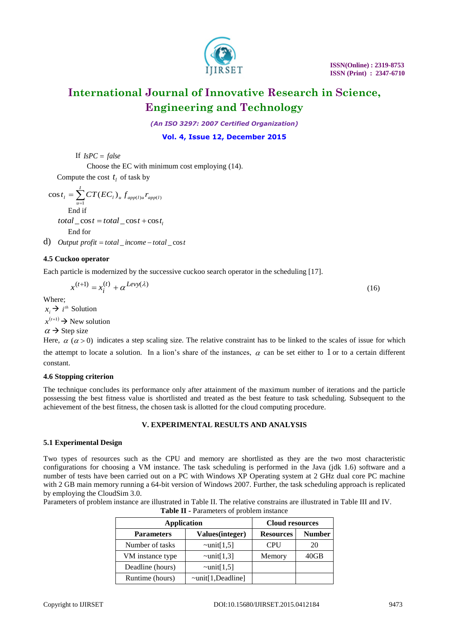

*(An ISO 3297: 2007 Certified Organization)*

**Vol. 4, Issue 12, December 2015**

If  $IsPC = false$ 

Choose the EC with minimum cost employing (14).

Compute the cost  $t_i$  of task by

 $=\sum_{u=1}^{I}$  $t_l = \sum_{u=1}^{n} CT(EC_l)_{u} f_{app(l)u} r_{app(l)}$  $\cos t_1 = \sum_{u=1}^{N} CT(EC_1)_{u} f_{app(l)u} r_{app(l)}$  End if  $total$   $\cos t = total$   $\cos t + \cos t$ <sub>*l*</sub> End for

d) Output  $profit = total\_income - total\_cos t$ 

### **4.5 Cuckoo operator**

Each particle is modernized by the successive cuckoo search operator in the scheduling [17].

$$
x^{(t+1)} = x_i^{(t)} + \alpha^{Levy(\lambda)}
$$
\n<sup>(16)</sup>

Where;

 $x_i \rightarrow i^{th}$  Solution

 $x^{(t+1)} \rightarrow$  New solution

 $\alpha \rightarrow$  Step size

Here,  $\alpha$  ( $\alpha$  > 0) indicates a step scaling size. The relative constraint has to be linked to the scales of issue for which the attempt to locate a solution. In a lion's share of the instances,  $\alpha$  can be set either to 1 or to a certain different constant.

### **4.6 Stopping criterion**

The technique concludes its performance only after attainment of the maximum number of iterations and the particle possessing the best fitness value is shortlisted and treated as the best feature to task scheduling. Subsequent to the achievement of the best fitness, the chosen task is allotted for the cloud computing procedure.

### **V. EXPERIMENTAL RESULTS AND ANALYSIS**

### **5.1 Experimental Design**

Two types of resources such as the CPU and memory are shortlisted as they are the two most characteristic configurations for choosing a VM instance. The task scheduling is performed in the Java (jdk 1.6) software and a number of tests have been carried out on a PC with Windows XP Operating system at 2 GHz dual core PC machine with 2 GB main memory running a 64-bit version of Windows 2007. Further, the task scheduling approach is replicated by employing the CloudSim 3.0.

Parameters of problem instance are illustrated in Table II. The relative constrains are illustrated in Table III and IV. **Table II -** Parameters of problem instance

| <b>Application</b> | <b>Cloud resources</b>  |                  |               |
|--------------------|-------------------------|------------------|---------------|
| <b>Parameters</b>  | Values(integer)         | <b>Resources</b> | <b>Number</b> |
| Number of tasks    | $\sim$ unit[1,5]        | CPU              | 20            |
| VM instance type   | $\sim$ unit[1,3]        | Memory           | 40GB          |
| Deadline (hours)   | $\sim$ unit[1,5]        |                  |               |
| Runtime (hours)    | $\sim$ unit[1,Deadline] |                  |               |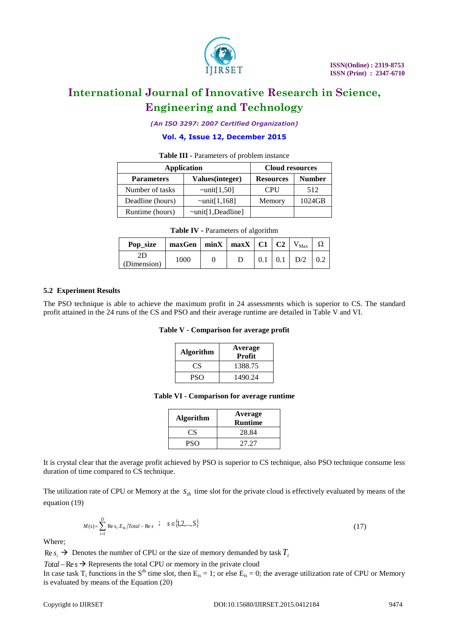

*(An ISO 3297: 2007 Certified Organization)*

### **Vol. 4, Issue 12, December 2015**

#### **Table III -** Parameters of problem instance

| <b>Application</b> | <b>Cloud resources</b>  |                  |               |
|--------------------|-------------------------|------------------|---------------|
| <b>Parameters</b>  | Values(integer)         | <b>Resources</b> | <b>Number</b> |
| Number of tasks    | $\sim$ unit[1,50]       | <b>CPU</b>       | 512           |
| Deadline (hours)   | $\sim$ unit[1,168]      | Memory           | 1024GB        |
| Runtime (hours)    | $\sim$ unit[1,Deadline] |                  |               |

**Table IV -** Parameters of algorithm

| Pop_size    | $maxGen$   $minX$   $maxX$   $C1$   $C2$   $V_{Max}$ |  |  |                                       | Ω |
|-------------|------------------------------------------------------|--|--|---------------------------------------|---|
| (Dimension) | 1000                                                 |  |  | $\vert 0.1 \vert D/2 \vert 0.2 \vert$ |   |

#### **5.2 Experiment Results**

The PSO technique is able to achieve the maximum profit in 24 assessments which is superior to CS. The standard profit attained in the 24 runs of the CS and PSO and their average runtime are detailed in Table V and VI.

|  | Table V - Comparison for average profit |  |  |
|--|-----------------------------------------|--|--|
|--|-----------------------------------------|--|--|

| <b>Algorithm</b> | Average<br><b>Profit</b> |
|------------------|--------------------------|
| CS.              | 1388.75                  |
| PSO              | 1490.24                  |

**Table VI - Comparison for average runtime**

| <b>Algorithm</b> | Average<br><b>Runtime</b> |
|------------------|---------------------------|
| CS               | 28.84                     |
| PSO              | 27.27                     |

It is crystal clear that the average profit achieved by PSO is superior to CS technique, also PSO technique consume less duration of time compared to CS technique.

The utilization rate of CPU or Memory at the  $s_{th}$  time slot for the private cloud is effectively evaluated by means of the equation (19)

$$
M(s) = \sum_{i=1}^{D} \text{Re } s_i \ E_{is} / Total - \text{Re } s \quad ; \quad s \in \{1, 2, ..., S\}
$$
 (17)

Where;

 $\text{Re } s_i \rightarrow \text{Denotes the number of CPU or the size of memory demanded by task } T_i$ 

*Total* –  $\text{Re } s \rightarrow \text{Represents}$  the total CPU or memory in the private cloud

In case task  $T_i$  functions in the S<sup>th</sup> time slot, then  $E_{is} = 1$ ; or else  $E_{is} = 0$ ; the average utilization rate of CPU or Memory is evaluated by means of the Equation (20)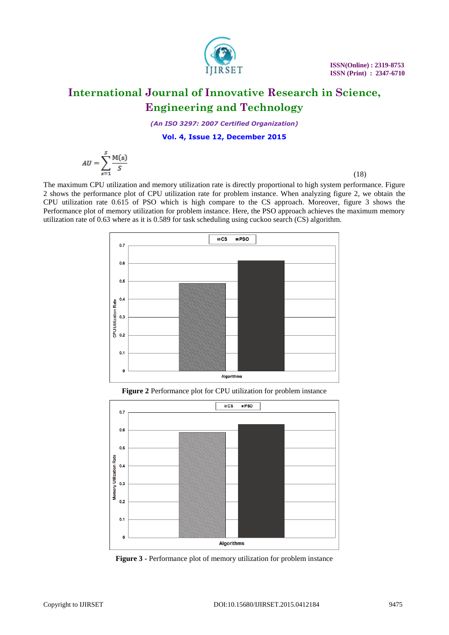

*(An ISO 3297: 2007 Certified Organization)*

**Vol. 4, Issue 12, December 2015**

$$
AU = \sum_{s=1}^{S} \frac{M(s)}{S}
$$

(18)

The maximum CPU utilization and memory utilization rate is directly proportional to high system performance. Figure 2 shows the performance plot of CPU utilization rate for problem instance. When analyzing figure 2, we obtain the CPU utilization rate 0.615 of PSO which is high compare to the CS approach. Moreover, figure 3 shows the Performance plot of memory utilization for problem instance. Here, the PSO approach achieves the maximum memory utilization rate of 0.63 where as it is 0.589 for task scheduling using cuckoo search (CS) algorithm.



**Figure 2** Performance plot for CPU utilization for problem instance



**Figure 3 -** Performance plot of memory utilization for problem instance